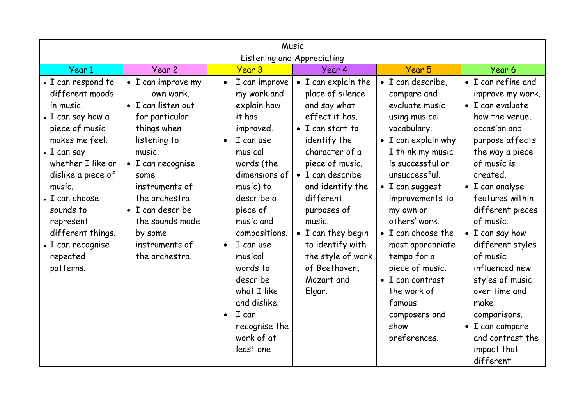| Music                                                                                                                                                                                                                                                                                                |                                                                                                                                                                                                                                                                                |                                                                                                                                                                                                                                                                                                                                                 |                                                                                                                                                                                                                                                                                                                                          |                                                                                                                                                                                                                                                                                                                                                                                                                          |                                                                                                                                                                                                                                                                                                                                                                                                                                                                  |  |  |  |  |
|------------------------------------------------------------------------------------------------------------------------------------------------------------------------------------------------------------------------------------------------------------------------------------------------------|--------------------------------------------------------------------------------------------------------------------------------------------------------------------------------------------------------------------------------------------------------------------------------|-------------------------------------------------------------------------------------------------------------------------------------------------------------------------------------------------------------------------------------------------------------------------------------------------------------------------------------------------|------------------------------------------------------------------------------------------------------------------------------------------------------------------------------------------------------------------------------------------------------------------------------------------------------------------------------------------|--------------------------------------------------------------------------------------------------------------------------------------------------------------------------------------------------------------------------------------------------------------------------------------------------------------------------------------------------------------------------------------------------------------------------|------------------------------------------------------------------------------------------------------------------------------------------------------------------------------------------------------------------------------------------------------------------------------------------------------------------------------------------------------------------------------------------------------------------------------------------------------------------|--|--|--|--|
| Listening and Appreciating                                                                                                                                                                                                                                                                           |                                                                                                                                                                                                                                                                                |                                                                                                                                                                                                                                                                                                                                                 |                                                                                                                                                                                                                                                                                                                                          |                                                                                                                                                                                                                                                                                                                                                                                                                          |                                                                                                                                                                                                                                                                                                                                                                                                                                                                  |  |  |  |  |
| Year 1                                                                                                                                                                                                                                                                                               | Year 2                                                                                                                                                                                                                                                                         | Year 3                                                                                                                                                                                                                                                                                                                                          | Year 4                                                                                                                                                                                                                                                                                                                                   | Year 5                                                                                                                                                                                                                                                                                                                                                                                                                   | Year 6                                                                                                                                                                                                                                                                                                                                                                                                                                                           |  |  |  |  |
| • I can respond to<br>different moods<br>in music.<br>• I can say how a<br>piece of music<br>makes me feel.<br>$\cdot$ I can say<br>whether I like or<br>dislike a piece of<br>music.<br>• I can choose<br>sounds to<br>represent<br>different things.<br>• I can recognise<br>repeated<br>patterns. | • I can improve my<br>own work.<br>• I can listen out<br>for particular<br>things when<br>listening to<br>music.<br>$\bullet$ I can recognise<br>some<br>instruments of<br>the orchestra<br>• I can describe<br>the sounds made<br>by some<br>instruments of<br>the orchestra. | I can improve<br>$\bullet$<br>my work and<br>explain how<br>it has<br>improved.<br>I can use<br>musical<br>words (the<br>dimensions of<br>music) to<br>describe a<br>piece of<br>music and<br>compositions.<br>I can use<br>musical<br>words to<br>describe<br>what I like<br>and dislike.<br>I can<br>recognise the<br>work of at<br>least one | • I can explain the<br>place of silence<br>and say what<br>effect it has.<br>• I can start to<br>identify the<br>character of a<br>piece of music.<br>• I can describe<br>and identify the<br>different<br>purposes of<br>music.<br>• I can they begin<br>to identify with<br>the style of work<br>of Beethoven,<br>Mozart and<br>Elgar. | $\bullet$ I can describe,<br>compare and<br>evaluate music<br>using musical<br>vocabulary.<br>• I can explain why<br>I think my music<br>is successful or<br>unsuccessful.<br>• I can suggest<br>improvements to<br>my own or<br>others' work.<br>• I can choose the<br>most appropriate<br>tempo for a<br>piece of music.<br>$\bullet$ I can contrast<br>the work of<br>famous<br>composers and<br>show<br>preferences. | • I can refine and<br>improve my work.<br>$\bullet$ I can evaluate<br>how the venue,<br>occasion and<br>purpose affects<br>the way a piece<br>of music is<br>created.<br>$\bullet$ I can analyse<br>features within<br>different pieces<br>of music.<br>• I can say how<br>different styles<br>of music<br>influenced new<br>styles of music<br>over time and<br>make<br>comparisons.<br>$\bullet$ I can compare<br>and contrast the<br>impact that<br>different |  |  |  |  |